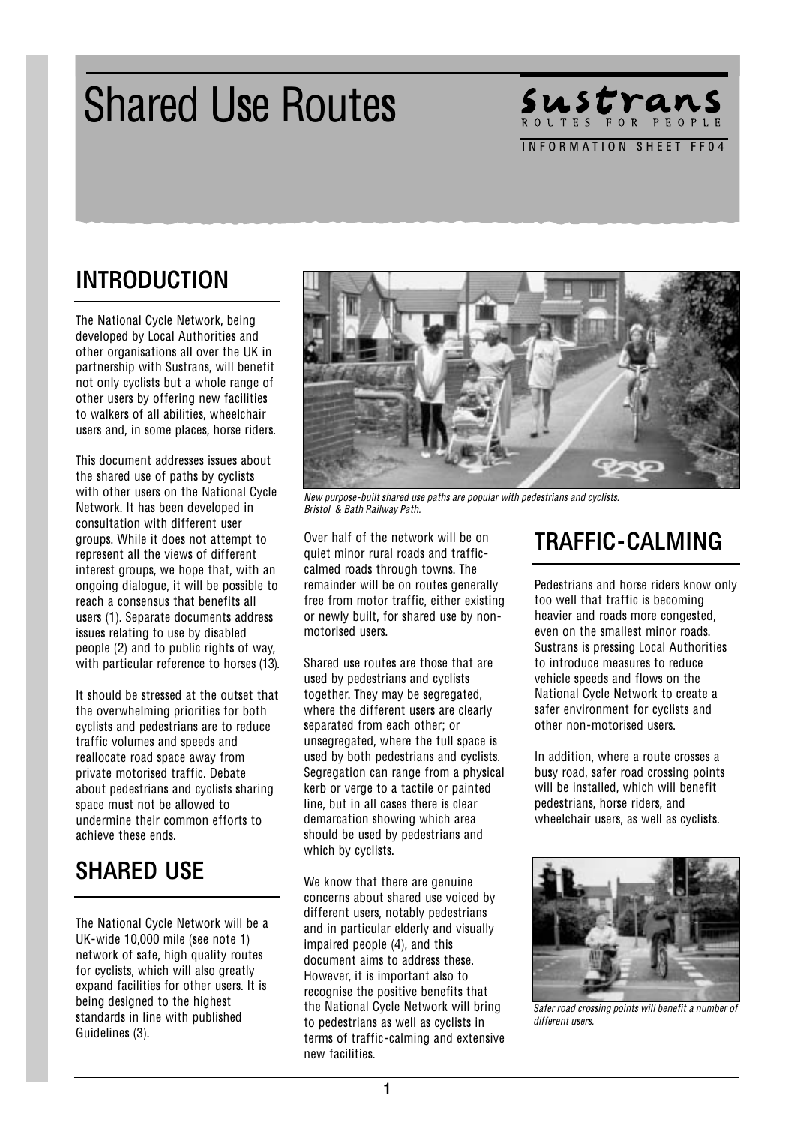# Shared Use Routes

**INFORMATION SHEET FF04** 

sustrans ROUTES FOR PEOPLE

### INTRODUCTION

The National Cycle Network, being developed by Local Authorities and other organisations all over the UK in partnership with Sustrans, will benefit not only cyclists but a whole range of other users by offering new facilities to walkers of all abilities, wheelchair users and, in some places, horse riders.

This document addresses issues about the shared use of paths by cyclists with other users on the National Cycle Network. It has been developed in consultation with different user groups. While it does not attempt to represent all the views of different interest groups, we hope that, with an ongoing dialogue, it will be possible to reach a consensus that benefits all users (1). Separate documents address issues relating to use by disabled people (2) and to public rights of way, with particular reference to horses (13).

It should be stressed at the outset that the overwhelming priorities for both cyclists and pedestrians are to reduce traffic volumes and speeds and reallocate road space away from private motorised traffic. Debate about pedestrians and cyclists sharing space must not be allowed to undermine their common efforts to achieve these ends.

# SHARED USE

The National Cycle Network will be a UK-wide 10,000 mile (see note 1) network of safe, high quality routes for cyclists, which will also greatly expand facilities for other users. It is being designed to the highest standards in line with published Guidelines (3).



Ne<sup>w</sup> purpose-built <sup>s</sup>hared <sup>u</sup>s<sup>e</sup> path<sup>s</sup> <sup>a</sup>r<sup>e</sup> popula<sup>r</sup> <sup>w</sup>ith pedestrian<sup>s</sup> <sup>a</sup>nd <sup>c</sup>yclists. Bristol & Bath Railway Path.

Over half of the network will be on quiet minor rural roads and trafficcalmed roads through towns. The remainder will be on routes generally free from motor traffic, either existing or newly built, for shared use by nonmotorised users.

Shared use routes are those that are used by pedestrians and cyclists together. They may be segregated, where the different users are clearly separated from each other; or unsegregated, where the full space is used by both pedestrians and cyclists. Segregation can range from a physical kerb or verge to a tactile or painted line, but in all cases there is clear demarcation showing which area should be used by pedestrians and which by cyclists.

We know that there are genuine concerns about shared use voiced by different users, notably pedestrians and in particular elderly and visually impaired people (4), and this document aims to address these. However, it is important also to recognise the positive benefits that the National Cycle Network will bring to pedestrians as well as cyclists in terms of traffic-calming and extensive new facilities.

### TRAFFIC-CALMING

Pedestrians and horse riders know only too well that traffic is becoming heavier and roads more congested, even on the smallest minor roads. Sustrans is pressing Local Authorities to introduce measures to reduce vehicle speeds and flows on the National Cycle Network to create a safer environment for cyclists and other non-motorised users.

In addition, where a route crosses a busy road, safer road crossing points will be installed, which will benefit pedestrians, horse riders, and wheelchair users, as well as cyclists.



Safe<sup>r</sup> <sup>r</sup>oad crossing point<sup>s</sup> <sup>w</sup>ill benefit <sup>a</sup> numbe<sup>r</sup> <sup>o</sup>f different users.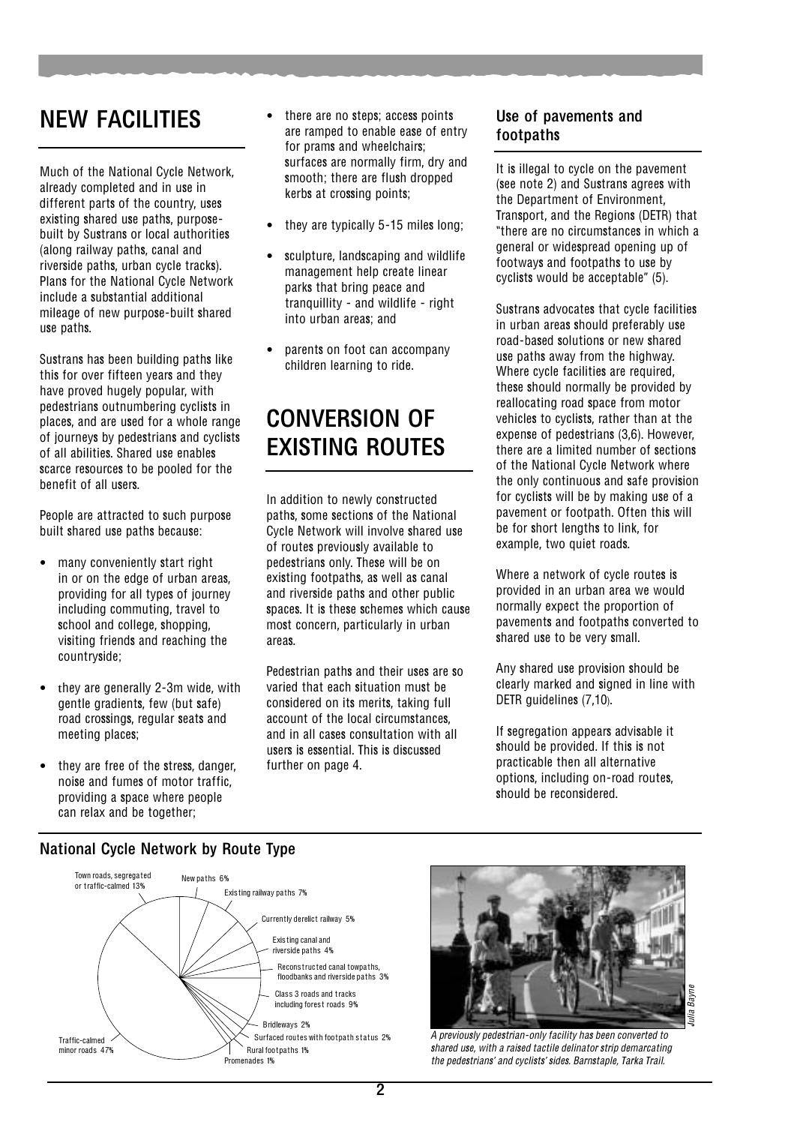# NEW FACILITIES

Much of the National Cycle Network, already completed and in use in different parts of the country, uses existing shared use paths, purposebuilt by Sustrans or local authorities (along railway paths, canal and riverside paths, urban cycle tracks). Plans for the National Cycle Network include a substantial additional mileage of new purpose-built shared use paths.

Sustrans has been building paths like this for over fifteen years and they have proved hugely popular, with pedestrians outnumbering cyclists in places, and are used for a whole range of journeys by pedestrians and cyclists of all abilities. Shared use enables scarce resources to be pooled for the benefit of all users.

People are attracted to such purpose built shared use paths because:

- many conveniently start right in or on the edge of urban areas, providing for all types of journey including commuting, travel to school and college, shopping, visiting friends and reaching the countryside;
- they are generally 2-3m wide, with gentle gradients, few (but safe) road crossings, regular seats and meeting places;
- they are free of the stress, danger, noise and fumes of motor traffic, providing a space where people can relax and be together;
- there are no steps; access points are ramped to enable ease of entry for prams and wheelchairs; surfaces are normally firm, dry and smooth; there are flush dropped kerbs at crossing points;
- they are typically 5-15 miles long;
- sculpture, landscaping and wildlife management help create linear parks that bring peace and tranquillity - and wildlife - right into urban areas; and
- parents on foot can accompany children learning to ride.

# CONVERSION OF EXISTING ROUTES

In addition to newly constructed paths, some sections of the National Cycle Network will involve shared use of routes previously available to pedestrians only. These will be on existing footpaths, as well as canal and riverside paths and other public spaces. It is these schemes which cause most concern, particularly in urban areas.

Pedestrian paths and their uses are so varied that each situation must be considered on its merits, taking full account of the local circumstances, and in all cases consultation with all users is essential. This is discussed further on page 4.

#### Use of pavements and footpaths

It is illegal to cycle on the pavement (see note 2) and Sustrans agrees with the Department of Environment, Transport, and the Regions (DETR) that "there are no circumstances in which a general or widespread opening up of footways and footpaths to use by cyclists would be acceptable" (5).

Sustrans advocates that cycle facilities in urban areas should preferably use road-based solutions or new shared use paths away from the highway. Where cycle facilities are required. these should normally be provided by reallocating road space from motor vehicles to cyclists, rather than at the expense of pedestrians (3,6). However, there are a limited number of sections of the National Cycle Network where the only continuous and safe provision for cyclists will be by making use of a pavement or footpath. Often this will be for short lengths to link, for example, two quiet roads.

Where a network of cycle routes is provided in an urban area we would normally expect the proportion of pavements and footpaths converted to shared use to be very small.

Any shared use provision should be clearly marked and signed in line with DETR guidelines (7,10).

If segregation appears advisable it should be provided. If this is not practicable then all alternative options, including on-road routes, should be reconsidered.

#### National Cycle Network by Route Type





A previously pedestrian-only facility ha<sup>s</sup> bee<sup>n</sup> <sup>c</sup>onverted t<sup>o</sup> <sup>s</sup>hared <sup>u</sup>se, <sup>w</sup>ith <sup>a</sup> <sup>r</sup>aised tactile delinato<sup>r</sup> <sup>s</sup>trip demarcating th<sup>e</sup> pedestrians' <sup>a</sup>nd <sup>c</sup>yclists' <sup>s</sup>ides. Barnstaple, Tark<sup>a</sup> Trail.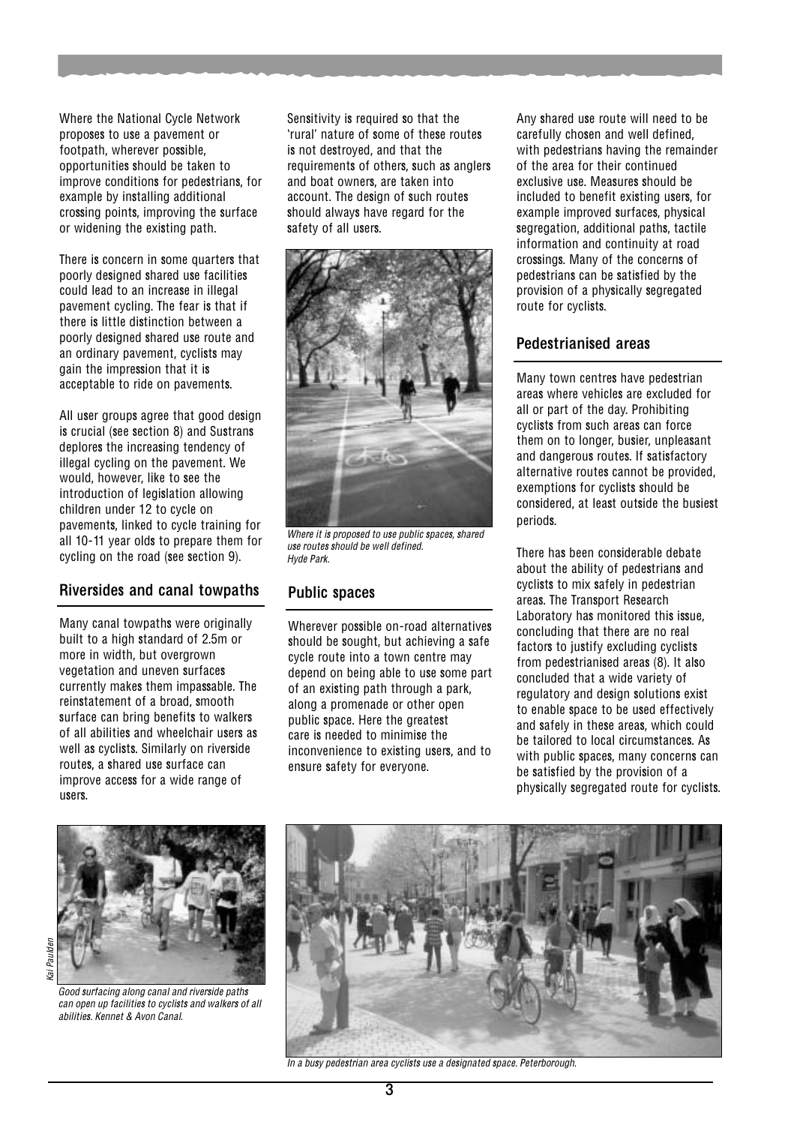proposes to use a pavement or footpath, wherever possible, opportunities should be taken to improve conditions for pedestrians, for example by installing additional crossing points, improving the surface or widening the existing path.

There is concern in some quarters that poorly designed shared use facilities could lead to an increase in illegal pavement cycling. The fear is that if there is little distinction between a poorly designed shared use route and an ordinary pavement, cyclists may gain the impression that it is acceptable to ride on pavements.

All user groups agree that good design is crucial (see section 8) and Sustrans deplores the increasing tendency of illegal cycling on the pavement. We would, however, like to see the introduction of legislation allowing children under 12 to cycle on pavements, linked to cycle training for all 10-11 year olds to prepare them for cycling on the road (see section 9).

#### Riversides and canal towpaths

Where the National Cycle Network<br>proposes to use a pavement or<br>proposes to use a pavement or<br>obpath, wherever possible,<br>opportunities should be taken to<br>improve conditions for pedestrians<br>example by installing additional<br>e Many canal towpaths were originally built to a high standard of 2.5m or more in width, but overgrown vegetation and uneven surfaces currently makes them impassable. The reinstatement of a broad, smooth surface can bring benefits to walkers of all abilities and wheelchair users as well as cyclists. Similarly on riverside routes, a shared use surface can improve access for a wide range of users.

Sensitivity is required so that the 'rural' nature of some of these routes is not destroyed, and that the requirements of others, such as anglers and boat owners, are taken into account. The design of such routes should always have regard for the safety of all users.



Wher<sup>e</sup> it i<sup>s</sup> proposed t<sup>o</sup> <sup>u</sup>s<sup>e</sup> publi<sup>c</sup> <sup>s</sup>paces, <sup>s</sup>hared use routes should be well defined. Hyd<sup>e</sup> Park.

#### Public spaces

Wherever possible on-road alternatives should be sought, but achieving a safe cycle route into a town centre may depend on being able to use some part of an existing path through a park, along a promenade or other open public space. Here the greatest care is needed to minimise the inconvenience to existing users, and to ensure safety for everyone.

Any shared use route will need to be carefully chosen and well defined, with pedestrians having the remainder of the area for their continued exclusive use. Measures should be included to benefit existing users, for example improved surfaces, physical segregation, additional paths, tactile information and continuity at road crossings. Many of the concerns of pedestrians can be satisfied by the provision of a physically segregated route for cyclists.

#### Pedestrianised areas

Many town centres have pedestrian areas where vehicles are excluded for all or part of the day. Prohibiting cyclists from such areas can force them on to longer, busier, unpleasant and dangerous routes. If satisfactory alternative routes cannot be provided, exemptions for cyclists should be considered, at least outside the busiest periods.

There has been considerable debate about the ability of pedestrians and cyclists to mix safely in pedestrian areas. The Transport Research Laboratory has monitored this issue, concluding that there are no real factors to justify excluding cyclists from pedestrianised areas (8). It also concluded that a wide variety of regulatory and design solutions exist to enable space to be used effectively and safely in these areas, which could be tailored to local circumstances. As with public spaces, many concerns can be satisfied by the provision of a physically segregated route for cyclists.



Good <sup>s</sup>urfacing <sup>a</sup>long <sup>c</sup>anal <sup>a</sup>nd <sup>r</sup>iversid<sup>e</sup> path<sup>s</sup> <sup>c</sup>a<sup>n</sup> ope<sup>n</sup> <sup>u</sup>p facilitie<sup>s</sup> t<sup>o</sup> <sup>c</sup>yclist<sup>s</sup> <sup>a</sup>nd <sup>w</sup>alker<sup>s</sup> <sup>o</sup>f <sup>a</sup>ll abilities. Kennet & Avon Canal.



I<sup>n</sup> <sup>a</sup> busy pedestria<sup>n</sup> <sup>a</sup>re<sup>a</sup> <sup>c</sup>yclist<sup>s</sup> <sup>u</sup>s<sup>e</sup> <sup>a</sup> designated <sup>s</sup>pace. Peterborough.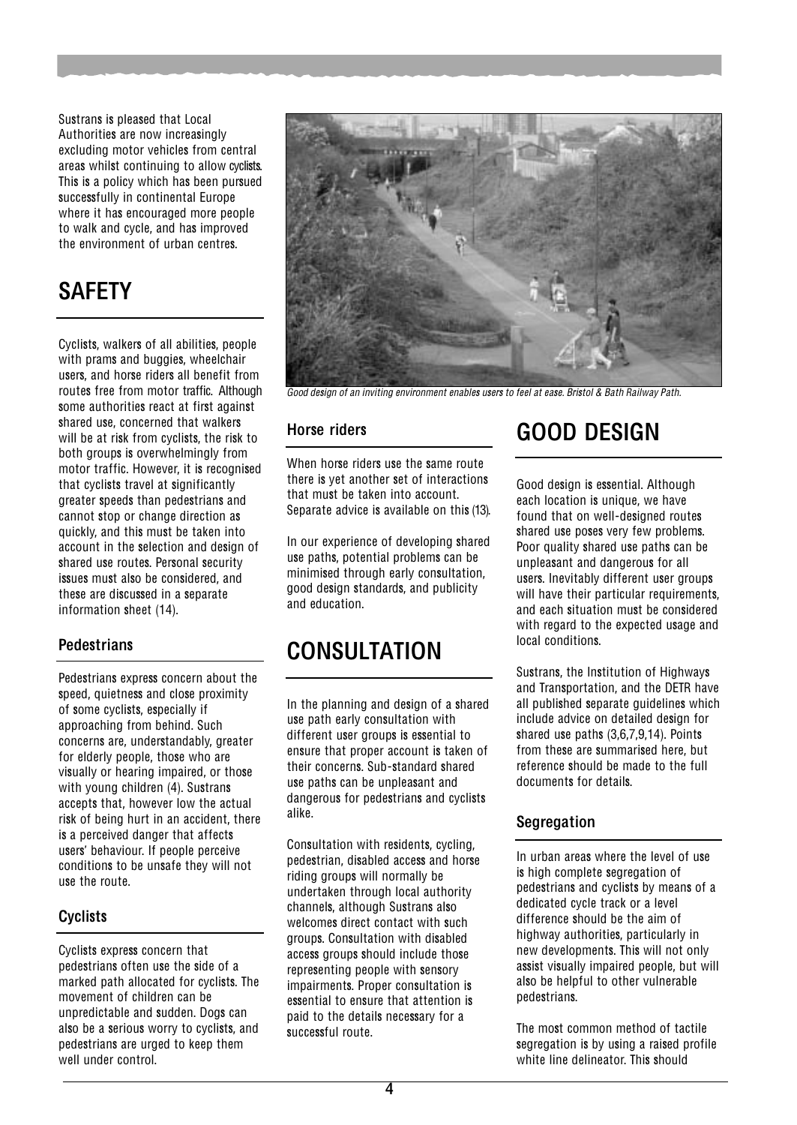Sustrans is pleased that Local Authorities are now increasingly excluding motor vehicles from central areas whilst continuing to allow cyclists. This is a policy which has been pursued successfully in continental Europe where it has encouraged more people to walk and cycle, and has improved the environment of urban centres.

# SAFETY

Cyclists, walkers of all abilities, people with prams and buggies, wheelchair users, and horse riders all benefit from routes free from motor traffic. Although some authorities react at first against shared use, concerned that walkers will be at risk from cyclists, the risk to both groups is overwhelmingly from motor traffic. However, it is recognised that cyclists travel at significantly greater speeds than pedestrians and cannot stop or change direction as quickly, and this must be taken into account in the selection and design of shared use routes. Personal security issues must also be considered, and these are discussed in a separate information sheet (14).

#### **Pedestrians**

Pedestrians express concern about the speed, quietness and close proximity of some cyclists, especially if approaching from behind. Such concerns are, understandably, greater for elderly people, those who are visually or hearing impaired, or those with young children (4). Sustrans accepts that, however low the actual risk of being hurt in an accident, there is a perceived danger that affects users' behaviour. If people perceive conditions to be unsafe they will not use the route.

#### Cyclists

Cyclists express concern that pedestrians often use the side of a marked path allocated for cyclists. The movement of children can be unpredictable and sudden. Dogs can also be a serious worry to cyclists, and pedestrians are urged to keep them well under control.



Good desig<sup>n</sup> <sup>o</sup>f <sup>a</sup><sup>n</sup> inviting <sup>e</sup>nvironment <sup>e</sup>nable<sup>s</sup> <sup>u</sup>ser<sup>s</sup> t<sup>o</sup> feel <sup>a</sup>t <sup>e</sup>ase. Bristol & Bath Railway Path.

#### Horse riders

When horse riders use the same route there is yet another set of interactions that must be taken into account. Separate advice is available on this (13).

In our experience of developing shared use paths, potential problems can be minimised through early consultation, good design standards, and publicity and education.

# **CONSULTATION**

In the planning and design of a shared use path early consultation with different user groups is essential to ensure that proper account is taken of their concerns. Sub-standard shared use paths can be unpleasant and dangerous for pedestrians and cyclists alike.

Consultation with residents, cycling, pedestrian, disabled access and horse riding groups will normally be undertaken through local authority channels, although Sustrans also welcomes direct contact with such groups. Consultation with disabled access groups should include those representing people with sensory impairments. Proper consultation is essential to ensure that attention is paid to the details necessary for a successful route.

# GOOD DESIGN

Good design is essential. Although each location is unique, we have found that on well-designed routes shared use poses very few problems. Poor quality shared use paths can be unpleasant and dangerous for all users. Inevitably different user groups will have their particular requirements, and each situation must be considered with regard to the expected usage and local conditions.

Sustrans, the Institution of Highways and Transportation, and the DETR have all published separate guidelines which include advice on detailed design for shared use paths (3,6,7,9,14). Points from these are summarised here, but reference should be made to the full documents for details.

### Segregation

In urban areas where the level of use is high complete segregation of pedestrians and cyclists by means of a dedicated cycle track or a level difference should be the aim of highway authorities, particularly in new developments. This will not only assist visually impaired people, but will also be helpful to other vulnerable pedestrians.

The most common method of tactile segregation is by using a raised profile white line delineator. This should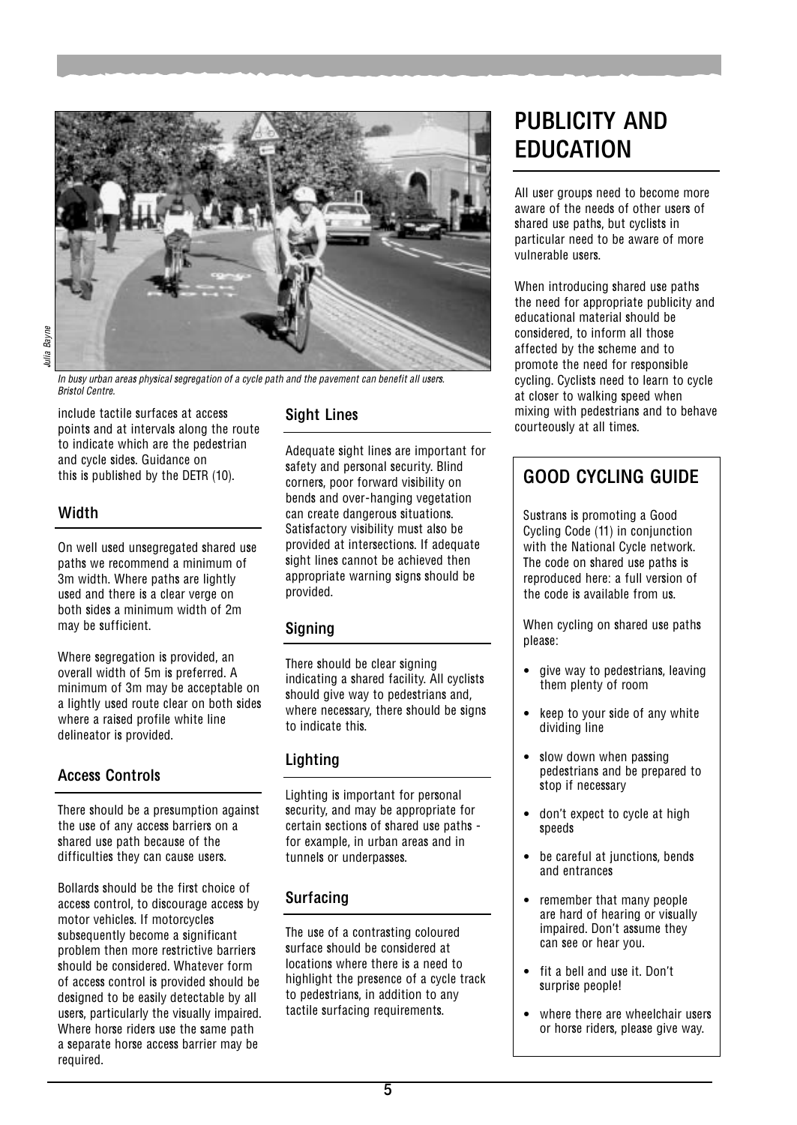

I<sup>n</sup> busy <sup>u</sup>rba<sup>n</sup> <sup>a</sup>rea<sup>s</sup> physical <sup>s</sup>egregatio<sup>n</sup> <sup>o</sup>f <sup>a</sup> <sup>c</sup>ycle path <sup>a</sup>nd th<sup>e</sup> pavement <sup>c</sup>a<sup>n</sup> benefit <sup>a</sup>ll <sup>u</sup>sers. Bristol Centre.

include tactile surfaces at access points and at intervals along the route to indicate which are the pedestrian and cycle sides. Guidance on this is published by the DETR (10).

### **Width**

On well used unsegregated shared use paths we recommend a minimum of 3m width. Where paths are lightly used and there is a clear verge on both sides a minimum width of 2m may be sufficient.

Where segregation is provided, an overall width of 5m is preferred. A minimum of 3m may be acceptable on a lightly used route clear on both sides where a raised profile white line delineator is provided.

### Access Controls

There should be a presumption against the use of any access barriers on a shared use path because of the difficulties they can cause users.

Bollards should be the first choice of access control, to discourage access by motor vehicles. If motorcycles subsequently become a significant problem then more restrictive barriers should be considered. Whatever form of access control is provided should be designed to be easily detectable by all users, particularly the visually impaired. Where horse riders use the same path a separate horse access barrier may be required.

#### Sight Lines

Adequate sight lines are important for safety and personal security. Blind corners, poor forward visibility on bends and over-hanging vegetation can create dangerous situations. Satisfactory visibility must also be provided at intersections. If adequate sight lines cannot be achieved then appropriate warning signs should be provided.

### Signing

There should be clear signing indicating a shared facility. All cyclists should give way to pedestrians and, where necessary, there should be signs to indicate this.

### Lighting

Lighting is important for personal security, and may be appropriate for certain sections of shared use paths for example, in urban areas and in tunnels or underpasses.

### **Surfacing**

The use of a contrasting coloured surface should be considered at locations where there is a need to highlight the presence of a cycle track to pedestrians, in addition to any tactile surfacing requirements.

# PUBLICITY AND EDUCATION

All user groups need to become more aware of the needs of other users of shared use paths, but cyclists in particular need to be aware of more vulnerable users.

When introducing shared use paths the need for appropriate publicity and educational material should be considered, to inform all those affected by the scheme and to promote the need for responsible cycling. Cyclists need to learn to cycle at closer to walking speed when mixing with pedestrians and to behave courteously at all times.

### GOOD CYCLING GUIDE

Sustrans is promoting a Good Cycling Code (11) in conjunction with the National Cycle network. The code on shared use paths is reproduced here: a full version of the code is available from us.

When cycling on shared use paths please:

- give way to pedestrians, leaving them plenty of room
- keep to your side of any white dividing line
- slow down when passing pedestrians and be prepared to stop if necessary
- don't expect to cycle at high speeds
- be careful at junctions, bends and entrances
- remember that many people are hard of hearing or visually impaired. Don't assume they can see or hear you.
- fit a bell and use it. Don't surprise people!
- where there are wheelchair users or horse riders, please give way.